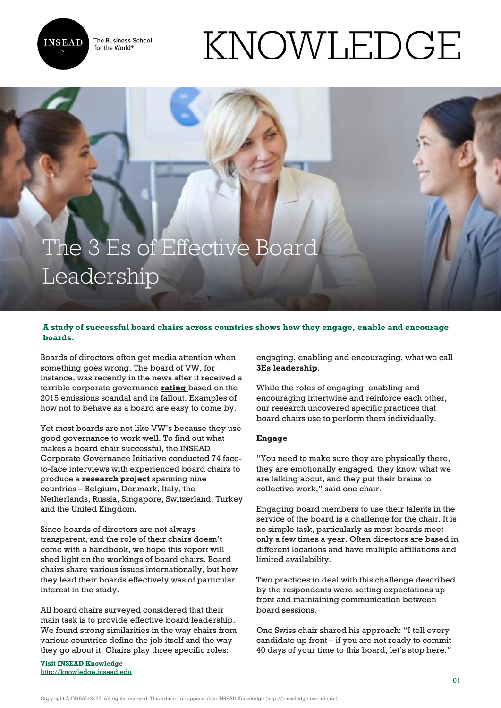The Business School for the World<sup>®</sup>



# KNOWLEDGE

# The 3 Es of Effective Board **Leadership**

# **A study of successful board chairs across countries shows how they engage, enable and encourage boards.**

Boards of directors often get media attention when something goes wrong. The board of VW, for instance, was recently in the news after it received a terrible corporate governance **[rating](https://www.ft.com/content/a6ba3788-34cb-11e7-bce4-9023f8c0fd2e)** based on the 2015 emissions scandal and its fallout. Examples of how not to behave as a board are easy to come by.

Yet most boards are not like VW's because they use good governance to work well. To find out what makes a board chair successful, the INSEAD Corporate Governance Initiative conducted 74 faceto-face interviews with experienced board chairs to produce a **[research project](https://centres.insead.edu/corporate-governance-initiative/documents/BoardChairsPracticesacrossCountries_out_str.pdf)** spanning nine countries – Belgium, Denmark, Italy, the Netherlands, Russia, Singapore, Switzerland, Turkey and the United Kingdom.

Since boards of directors are not always transparent, and the role of their chairs doesn't come with a handbook, we hope this report will shed light on the workings of board chairs. Board chairs share various issues internationally, but how they lead their boards effectively was of particular interest in the study.

All board chairs surveyed considered that their main task is to provide effective board leadership. We found strong similarities in the way chairs from various countries define the job itself and the way they go about it. Chairs play three specific roles:

**Visit INSEAD Knowledge** <http://knowledge.insead.edu> engaging, enabling and encouraging, what we call **3Es leadership**.

While the roles of engaging, enabling and encouraging intertwine and reinforce each other, our research uncovered specific practices that board chairs use to perform them individually.

## **Engage**

"You need to make sure they are physically there, they are emotionally engaged, they know what we are talking about, and they put their brains to collective work," said one chair.

Engaging board members to use their talents in the service of the board is a challenge for the chair. It is no simple task, particularly as most boards meet only a few times a year. Often directors are based in different locations and have multiple affiliations and limited availability.

Two practices to deal with this challenge described by the respondents were setting expectations up front and maintaining communication between board sessions.

One Swiss chair shared his approach: "I tell every candidate up front – if you are not ready to commit 40 days of your time to this board, let's stop here."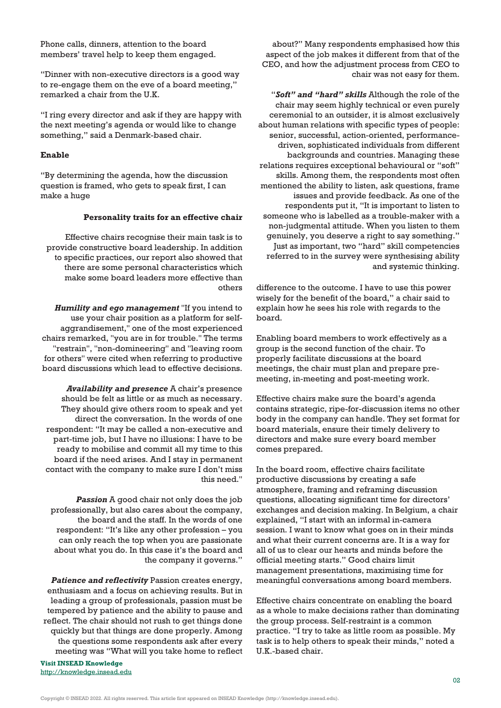Phone calls, dinners, attention to the board members' travel help to keep them engaged.

"Dinner with non-executive directors is a good way to re-engage them on the eve of a board meeting," remarked a chair from the U.K.

"I ring every director and ask if they are happy with the next meeting's agenda or would like to change something," said a Denmark-based chair.

#### **Enable**

"By determining the agenda, how the discussion question is framed, who gets to speak first, I can make a huge

### **Personality traits for an effective chair**

Effective chairs recognise their main task is to provide constructive board leadership. In addition to specific practices, our report also showed that there are some personal characteristics which make some board leaders more effective than others

*Humility and ego management* "If you intend to use your chair position as a platform for selfaggrandisement," one of the most experienced chairs remarked, "you are in for trouble." The terms "restrain", "non-domineering" and "leaving room for others" were cited when referring to productive board discussions which lead to effective decisions.

*Availability and presence* A chair's presence should be felt as little or as much as necessary. They should give others room to speak and yet direct the conversation. In the words of one respondent: "It may be called a non-executive and part-time job, but I have no illusions: I have to be ready to mobilise and commit all my time to this board if the need arises. And I stay in permanent contact with the company to make sure I don't miss this need."

**Passion** A good chair not only does the job professionally, but also cares about the company, the board and the staff. In the words of one respondent: "It's like any other profession – you can only reach the top when you are passionate about what you do. In this case it's the board and the company it governs."

*Patience and reflectivity* Passion creates energy, enthusiasm and a focus on achieving results. But in leading a group of professionals, passion must be tempered by patience and the ability to pause and reflect. The chair should not rush to get things done quickly but that things are done properly. Among the questions some respondents ask after every meeting was "What will you take home to reflect

**Visit INSEAD Knowledge** <http://knowledge.insead.edu>

about?" Many respondents emphasised how this aspect of the job makes it different from that of the CEO, and how the adjustment process from CEO to chair was not easy for them.

"*Soft" and "hard" skills* Although the role of the chair may seem highly technical or even purely ceremonial to an outsider, it is almost exclusively about human relations with specific types of people: senior, successful, action-oriented, performancedriven, sophisticated individuals from different backgrounds and countries. Managing these relations requires exceptional behavioural or "soft" skills. Among them, the respondents most often mentioned the ability to listen, ask questions, frame issues and provide feedback. As one of the respondents put it, "It is important to listen to someone who is labelled as a trouble-maker with a non-judgmental attitude. When you listen to them genuinely, you deserve a right to say something." Just as important, two "hard" skill competencies referred to in the survey were synthesising ability and systemic thinking.

difference to the outcome. I have to use this power wisely for the benefit of the board," a chair said to explain how he sees his role with regards to the board.

Enabling board members to work effectively as a group is the second function of the chair. To properly facilitate discussions at the board meetings, the chair must plan and prepare premeeting, in-meeting and post-meeting work.

Effective chairs make sure the board's agenda contains strategic, ripe-for-discussion items no other body in the company can handle. They set format for board materials, ensure their timely delivery to directors and make sure every board member comes prepared.

In the board room, effective chairs facilitate productive discussions by creating a safe atmosphere, framing and reframing discussion questions, allocating significant time for directors' exchanges and decision making. In Belgium, a chair explained, "I start with an informal in-camera session. I want to know what goes on in their minds and what their current concerns are. It is a way for all of us to clear our hearts and minds before the official meeting starts." Good chairs limit management presentations, maximising time for meaningful conversations among board members.

Effective chairs concentrate on enabling the board as a whole to make decisions rather than dominating the group process. Self-restraint is a common practice. "I try to take as little room as possible. My task is to help others to speak their minds," noted a U.K.-based chair.

Copyright © INSEAD 2022. All rights reserved. This article first appeared on INSEAD Knowledge (http://knowledge.insead.edu).